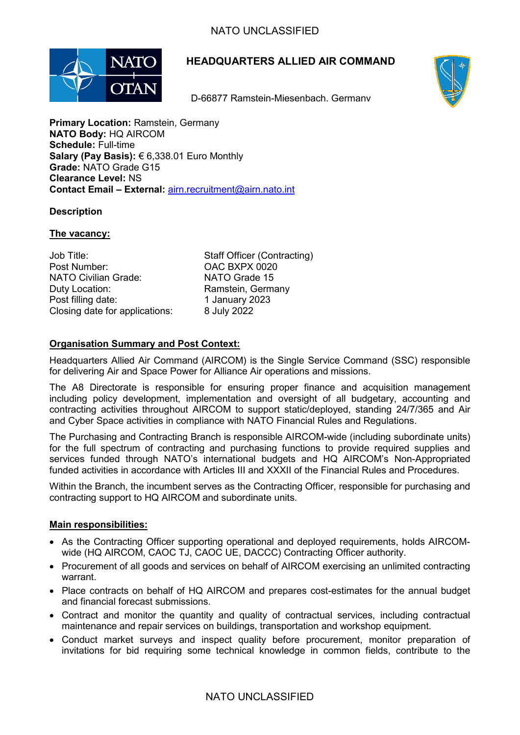

# **HEADQUARTERS ALLIED AIR COMMAND**

D-66877 Ramstein-Miesenbach, Germany



**Primary Location: Ramstein, Germany NATO Body:** HQ AIRCOM **Schedule:** Full-time **Salary (Pay Basis):** € 6,338.01 Euro Monthly **Grade:** NATO Grade G15 **Clearance Level:** NS **Contact Email – External:** [airn.recruitment@airn.nato.int](mailto:airn.recruitment@airn.nato.int)

# **Description**

# **The vacancy:**

| Job Title:                     | <b>Staff Officer (Contracting)</b> |
|--------------------------------|------------------------------------|
| Post Number:                   | OAC BXPX 0020                      |
| <b>NATO Civilian Grade:</b>    | NATO Grade 15                      |
| Duty Location:                 | Ramstein, Germany                  |
| Post filling date:             | 1 January 2023                     |
| Closing date for applications: | 8 July 2022                        |

# **Organisation Summary and Post Context:**

Headquarters Allied Air Command (AIRCOM) is the Single Service Command (SSC) responsible for delivering Air and Space Power for Alliance Air operations and missions.

The A8 Directorate is responsible for ensuring proper finance and acquisition management including policy development, implementation and oversight of all budgetary, accounting and contracting activities throughout AIRCOM to support static/deployed, standing 24/7/365 and Air and Cyber Space activities in compliance with NATO Financial Rules and Regulations.

The Purchasing and Contracting Branch is responsible AIRCOM-wide (including subordinate units) for the full spectrum of contracting and purchasing functions to provide required supplies and services funded through NATO's international budgets and HQ AIRCOM's Non-Appropriated funded activities in accordance with Articles III and XXXII of the Financial Rules and Procedures.

Within the Branch, the incumbent serves as the Contracting Officer, responsible for purchasing and contracting support to HQ AIRCOM and subordinate units.

## **Main responsibilities:**

- As the Contracting Officer supporting operational and deployed requirements, holds AIRCOMwide (HQ AIRCOM, CAOC TJ, CAOC UE, DACCC) Contracting Officer authority.
- Procurement of all goods and services on behalf of AIRCOM exercising an unlimited contracting warrant.
- Place contracts on behalf of HQ AIRCOM and prepares cost-estimates for the annual budget and financial forecast submissions.
- Contract and monitor the quantity and quality of contractual services, including contractual maintenance and repair services on buildings, transportation and workshop equipment.
- Conduct market surveys and inspect quality before procurement, monitor preparation of invitations for bid requiring some technical knowledge in common fields, contribute to the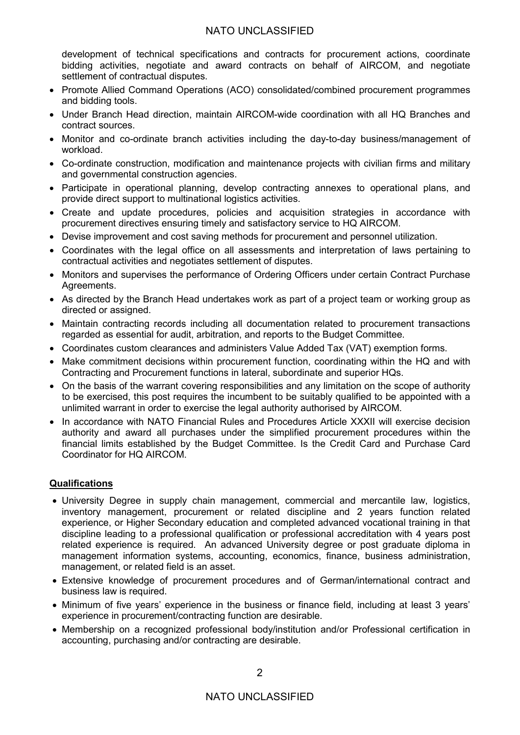# NATO UNCLASSIFIED

development of technical specifications and contracts for procurement actions, coordinate bidding activities, negotiate and award contracts on behalf of AIRCOM, and negotiate settlement of contractual disputes.

- Promote Allied Command Operations (ACO) consolidated/combined procurement programmes and bidding tools.
- Under Branch Head direction, maintain AIRCOM-wide coordination with all HQ Branches and contract sources.
- Monitor and co-ordinate branch activities including the day-to-day business/management of workload.
- Co-ordinate construction, modification and maintenance projects with civilian firms and military and governmental construction agencies.
- Participate in operational planning, develop contracting annexes to operational plans, and provide direct support to multinational logistics activities.
- Create and update procedures, policies and acquisition strategies in accordance with procurement directives ensuring timely and satisfactory service to HQ AIRCOM.
- Devise improvement and cost saving methods for procurement and personnel utilization.
- Coordinates with the legal office on all assessments and interpretation of laws pertaining to contractual activities and negotiates settlement of disputes.
- Monitors and supervises the performance of Ordering Officers under certain Contract Purchase Agreements.
- As directed by the Branch Head undertakes work as part of a project team or working group as directed or assigned.
- Maintain contracting records including all documentation related to procurement transactions regarded as essential for audit, arbitration, and reports to the Budget Committee.
- Coordinates custom clearances and administers Value Added Tax (VAT) exemption forms.
- Make commitment decisions within procurement function, coordinating within the HQ and with Contracting and Procurement functions in lateral, subordinate and superior HQs.
- On the basis of the warrant covering responsibilities and any limitation on the scope of authority to be exercised, this post requires the incumbent to be suitably qualified to be appointed with a unlimited warrant in order to exercise the legal authority authorised by AIRCOM.
- In accordance with NATO Financial Rules and Procedures Article XXXII will exercise decision authority and award all purchases under the simplified procurement procedures within the financial limits established by the Budget Committee. Is the Credit Card and Purchase Card Coordinator for HQ AIRCOM.

# **Qualifications**

- University Degree in supply chain management, commercial and mercantile law, logistics, inventory management, procurement or related discipline and 2 years function related experience, or Higher Secondary education and completed advanced vocational training in that discipline leading to a professional qualification or professional accreditation with 4 years post related experience is required. An advanced University degree or post graduate diploma in management information systems, accounting, economics, finance, business administration, management, or related field is an asset.
- Extensive knowledge of procurement procedures and of German/international contract and business law is required.
- Minimum of five years' experience in the business or finance field, including at least 3 years' experience in procurement/contracting function are desirable.
- Membership on a recognized professional body/institution and/or Professional certification in accounting, purchasing and/or contracting are desirable.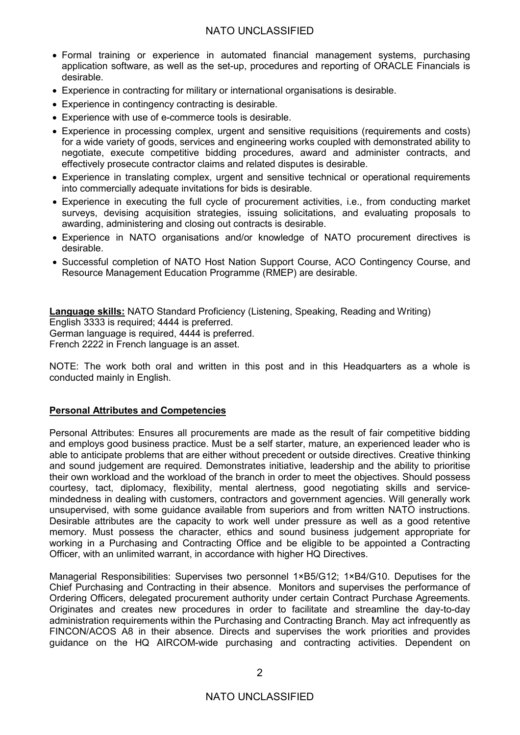# NATO UNCLASSIFIED

- Formal training or experience in automated financial management systems, purchasing application software, as well as the set-up, procedures and reporting of ORACLE Financials is desirable.
- Experience in contracting for military or international organisations is desirable.
- Experience in contingency contracting is desirable.
- Experience with use of e-commerce tools is desirable.
- Experience in processing complex, urgent and sensitive requisitions (requirements and costs) for a wide variety of goods, services and engineering works coupled with demonstrated ability to negotiate, execute competitive bidding procedures, award and administer contracts, and effectively prosecute contractor claims and related disputes is desirable.
- Experience in translating complex, urgent and sensitive technical or operational requirements into commercially adequate invitations for bids is desirable.
- Experience in executing the full cycle of procurement activities, i.e., from conducting market surveys, devising acquisition strategies, issuing solicitations, and evaluating proposals to awarding, administering and closing out contracts is desirable.
- Experience in NATO organisations and/or knowledge of NATO procurement directives is desirable.
- Successful completion of NATO Host Nation Support Course, ACO Contingency Course, and Resource Management Education Programme (RMEP) are desirable.

**Language skills:** NATO Standard Proficiency (Listening, Speaking, Reading and Writing) English 3333 is required; 4444 is preferred. German language is required, 4444 is preferred. French 2222 in French language is an asset.

NOTE: The work both oral and written in this post and in this Headquarters as a whole is conducted mainly in English.

## **Personal Attributes and Competencies**

Personal Attributes: Ensures all procurements are made as the result of fair competitive bidding and employs good business practice. Must be a self starter, mature, an experienced leader who is able to anticipate problems that are either without precedent or outside directives. Creative thinking and sound judgement are required. Demonstrates initiative, leadership and the ability to prioritise their own workload and the workload of the branch in order to meet the objectives. Should possess courtesy, tact, diplomacy, flexibility, mental alertness, good negotiating skills and servicemindedness in dealing with customers, contractors and government agencies. Will generally work unsupervised, with some guidance available from superiors and from written NATO instructions. Desirable attributes are the capacity to work well under pressure as well as a good retentive memory. Must possess the character, ethics and sound business judgement appropriate for working in a Purchasing and Contracting Office and be eligible to be appointed a Contracting Officer, with an unlimited warrant, in accordance with higher HQ Directives.

Managerial Responsibilities: Supervises two personnel 1×B5/G12; 1×B4/G10. Deputises for the Chief Purchasing and Contracting in their absence. Monitors and supervises the performance of Ordering Officers, delegated procurement authority under certain Contract Purchase Agreements. Originates and creates new procedures in order to facilitate and streamline the day-to-day administration requirements within the Purchasing and Contracting Branch. May act infrequently as FINCON/ACOS A8 in their absence. Directs and supervises the work priorities and provides guidance on the HQ AIRCOM-wide purchasing and contracting activities. Dependent on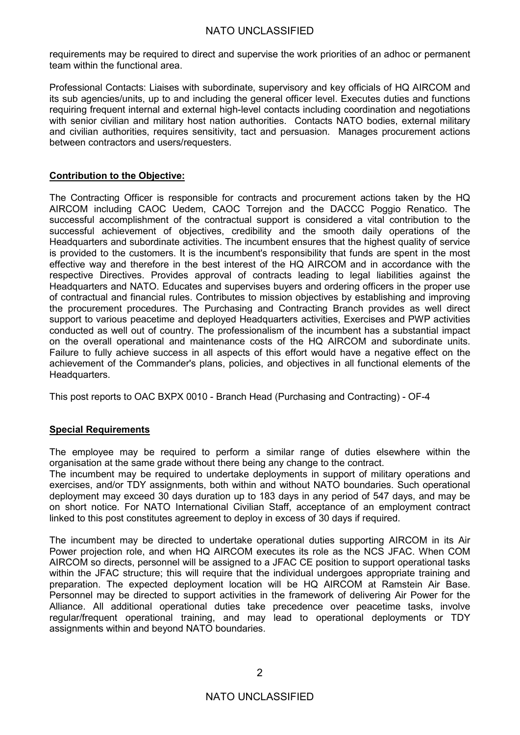requirements may be required to direct and supervise the work priorities of an adhoc or permanent team within the functional area.

Professional Contacts: Liaises with subordinate, supervisory and key officials of HQ AIRCOM and its sub agencies/units, up to and including the general officer level. Executes duties and functions requiring frequent internal and external high-level contacts including coordination and negotiations with senior civilian and military host nation authorities. Contacts NATO bodies, external military and civilian authorities, requires sensitivity, tact and persuasion. Manages procurement actions between contractors and users/requesters.

#### **Contribution to the Objective:**

The Contracting Officer is responsible for contracts and procurement actions taken by the HQ AIRCOM including CAOC Uedem, CAOC Torrejon and the DACCC Poggio Renatico. The successful accomplishment of the contractual support is considered a vital contribution to the successful achievement of objectives, credibility and the smooth daily operations of the Headquarters and subordinate activities. The incumbent ensures that the highest quality of service is provided to the customers. It is the incumbent's responsibility that funds are spent in the most effective way and therefore in the best interest of the HQ AIRCOM and in accordance with the respective Directives. Provides approval of contracts leading to legal liabilities against the Headquarters and NATO. Educates and supervises buyers and ordering officers in the proper use of contractual and financial rules. Contributes to mission objectives by establishing and improving the procurement procedures. The Purchasing and Contracting Branch provides as well direct support to various peacetime and deployed Headquarters activities, Exercises and PWP activities conducted as well out of country. The professionalism of the incumbent has a substantial impact on the overall operational and maintenance costs of the HQ AIRCOM and subordinate units. Failure to fully achieve success in all aspects of this effort would have a negative effect on the achievement of the Commander's plans, policies, and objectives in all functional elements of the Headquarters.

This post reports to OAC BXPX 0010 - Branch Head (Purchasing and Contracting) - OF-4

## **Special Requirements**

The employee may be required to perform a similar range of duties elsewhere within the organisation at the same grade without there being any change to the contract.

The incumbent may be required to undertake deployments in support of military operations and exercises, and/or TDY assignments, both within and without NATO boundaries. Such operational deployment may exceed 30 days duration up to 183 days in any period of 547 days, and may be on short notice. For NATO International Civilian Staff, acceptance of an employment contract linked to this post constitutes agreement to deploy in excess of 30 days if required.

The incumbent may be directed to undertake operational duties supporting AIRCOM in its Air Power projection role, and when HQ AIRCOM executes its role as the NCS JFAC. When COM AIRCOM so directs, personnel will be assigned to a JFAC CE position to support operational tasks within the JFAC structure; this will require that the individual undergoes appropriate training and preparation. The expected deployment location will be HQ AIRCOM at Ramstein Air Base. Personnel may be directed to support activities in the framework of delivering Air Power for the Alliance. All additional operational duties take precedence over peacetime tasks, involve regular/frequent operational training, and may lead to operational deployments or TDY assignments within and beyond NATO boundaries.